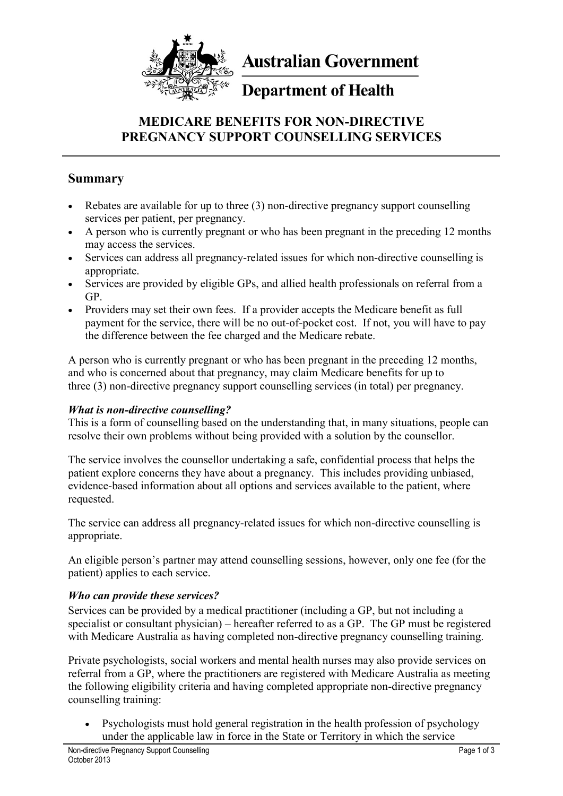

**Australian Government** 

# **Department of Health**

# **MEDICARE BENEFITS FOR NON-DIRECTIVE PREGNANCY SUPPORT COUNSELLING SERVICES**

### **Summary**

- Rebates are available for up to three (3) non-directive pregnancy support counselling services per patient, per pregnancy.
- A person who is currently pregnant or who has been pregnant in the preceding 12 months may access the services.
- Services can address all pregnancy-related issues for which non-directive counselling is appropriate.
- Services are provided by eligible GPs, and allied health professionals on referral from a GP.
- Providers may set their own fees. If a provider accepts the Medicare benefit as full payment for the service, there will be no out-of-pocket cost. If not, you will have to pay the difference between the fee charged and the Medicare rebate.

A person who is currently pregnant or who has been pregnant in the preceding 12 months, and who is concerned about that pregnancy, may claim Medicare benefits for up to three (3) non-directive pregnancy support counselling services (in total) per pregnancy.

### *What is non-directive counselling?*

This is a form of counselling based on the understanding that, in many situations, people can resolve their own problems without being provided with a solution by the counsellor.

The service involves the counsellor undertaking a safe, confidential process that helps the patient explore concerns they have about a pregnancy. This includes providing unbiased, evidence-based information about all options and services available to the patient, where requested.

The service can address all pregnancy-related issues for which non-directive counselling is appropriate.

An eligible person's partner may attend counselling sessions, however, only one fee (for the patient) applies to each service.

### *Who can provide these services?*

Services can be provided by a medical practitioner (including a GP, but not including a specialist or consultant physician) – hereafter referred to as a GP. The GP must be registered with Medicare Australia as having completed non-directive pregnancy counselling training.

Private psychologists, social workers and mental health nurses may also provide services on referral from a GP, where the practitioners are registered with Medicare Australia as meeting the following eligibility criteria and having completed appropriate non-directive pregnancy counselling training:

 Psychologists must hold general registration in the health profession of psychology under the applicable law in force in the State or Territory in which the service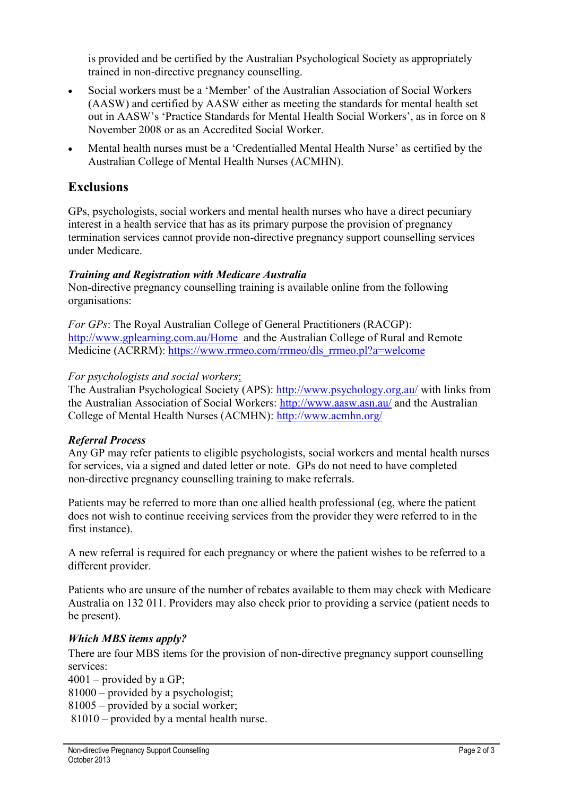is provided and be certified by the Australian Psychological Society as appropriately trained in non-directive pregnancy counselling.

- Social workers must be a 'Member' of the Australian Association of Social Workers (AASW) and certified by AASW either as meeting the standards for mental health set out in AASW's 'Practice Standards for Mental Health Social Workers', as in force on 8 November 2008 or as an Accredited Social Worker.
- Mental health nurses must be a 'Credentialled Mental Health Nurse' as certified by the Australian College of Mental Health Nurses (ACMHN).

# **Exclusions**

GPs, psychologists, social workers and mental health nurses who have a direct pecuniary interest in a health service that has as its primary purpose the provision of pregnancy termination services cannot provide non-directive pregnancy support counselling services under Medicare.

#### *Training and Registration with Medicare Australia*

Non-directive pregnancy counselling training is available online from the following organisations:

*For GPs*: The Royal Australian College of General Practitioners (RACGP): <http://www.gplearning.com.au/Home>and the Australian College of Rural and Remote Medicine (ACRRM): [https://www.rrmeo.com/rrmeo/dls\\_rrmeo.pl?a=welcome](https://www.rrmeo.com/rrmeo/dls_rrmeo.pl?a=welcome)

#### *For psychologists and social workers*:

The Australian Psychological Society (APS):<http://www.psychology.org.au/> with links from the Australian Association of Social Workers:<http://www.aasw.asn.au/> and the Australian College of Mental Health Nurses (ACMHN):<http://www.acmhn.org/>

#### *Referral Process*

Any GP may refer patients to eligible psychologists, social workers and mental health nurses for services, via a signed and dated letter or note. GPs do not need to have completed non-directive pregnancy counselling training to make referrals.

Patients may be referred to more than one allied health professional (eg, where the patient does not wish to continue receiving services from the provider they were referred to in the first instance).

A new referral is required for each pregnancy or where the patient wishes to be referred to a different provider.

Patients who are unsure of the number of rebates available to them may check with Medicare Australia on 132 011. Providers may also check prior to providing a service (patient needs to be present).

#### *Which MBS items apply?*

There are four MBS items for the provision of non-directive pregnancy support counselling services:

 $4001$  – provided by a GP:

81000 – provided by a psychologist;

81005 – provided by a social worker;

81010 – provided by a mental health nurse.